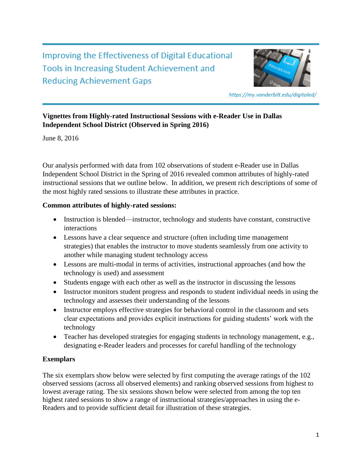**Improving the Effectiveness of Digital Educational Tools in Increasing Student Achievement and Reducing Achievement Gaps** 



https://my.vanderbilt.edu/digitaled/

# **Vignettes from Highly-rated Instructional Sessions with e-Reader Use in Dallas Independent School District (Observed in Spring 2016)**

June 8, 2016

Our analysis performed with data from 102 observations of student e-Reader use in Dallas Independent School District in the Spring of 2016 revealed common attributes of highly-rated instructional sessions that we outline below. In addition, we present rich descriptions of some of the most highly rated sessions to illustrate these attributes in practice.

## **Common attributes of highly-rated sessions:**

- Instruction is blended—instructor, technology and students have constant, constructive interactions
- Lessons have a clear sequence and structure (often including time management strategies) that enables the instructor to move students seamlessly from one activity to another while managing student technology access
- Lessons are multi-modal in terms of activities, instructional approaches (and how the technology is used) and assessment
- Students engage with each other as well as the instructor in discussing the lessons
- Instructor monitors student progress and responds to student individual needs in using the technology and assesses their understanding of the lessons
- Instructor employs effective strategies for behavioral control in the classroom and sets clear expectations and provides explicit instructions for guiding students' work with the technology
- Teacher has developed strategies for engaging students in technology management, e.g., designating e-Reader leaders and processes for careful handling of the technology

## **Exemplars**

The six exemplars show below were selected by first computing the average ratings of the 102 observed sessions (across all observed elements) and ranking observed sessions from highest to lowest average rating. The six sessions shown below were selected from among the top ten highest rated sessions to show a range of instructional strategies/approaches in using the e-Readers and to provide sufficient detail for illustration of these strategies.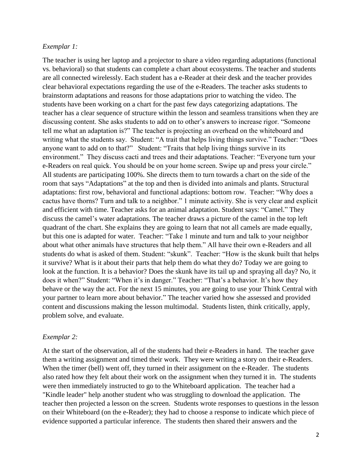#### *Exemplar 1:*

The teacher is using her laptop and a projector to share a video regarding adaptations (functional vs. behavioral) so that students can complete a chart about ecosystems. The teacher and students are all connected wirelessly. Each student has a e-Reader at their desk and the teacher provides clear behavioral expectations regarding the use of the e-Readers. The teacher asks students to brainstorm adaptations and reasons for those adaptations prior to watching the video. The students have been working on a chart for the past few days categorizing adaptations. The teacher has a clear sequence of structure within the lesson and seamless transitions when they are discussing content. She asks students to add on to other's answers to increase rigor. "Someone tell me what an adaptation is?" The teacher is projecting an overhead on the whiteboard and writing what the students say. Student: "A trait that helps living things survive." Teacher: "Does anyone want to add on to that?" Student: "Traits that help living things survive in its environment." They discuss cacti and trees and their adaptations. Teacher: "Everyone turn your e-Readers on real quick. You should be on your home screen. Swipe up and press your circle." All students are participating 100%. She directs them to turn towards a chart on the side of the room that says "Adaptations" at the top and then is divided into animals and plants. Structural adaptations: first row, behavioral and functional adaptions: bottom row. Teacher: "Why does a cactus have thorns? Turn and talk to a neighbor." 1 minute activity. She is very clear and explicit and efficient with time. Teacher asks for an animal adaptation. Student says: "Camel." They discuss the camel's water adaptations. The teacher draws a picture of the camel in the top left quadrant of the chart. She explains they are going to learn that not all camels are made equally, but this one is adapted for water. Teacher: "Take 1 minute and turn and talk to your neighbor about what other animals have structures that help them." All have their own e-Readers and all students do what is asked of them. Student: "skunk". Teacher: "How is the skunk built that helps it survive? What is it about their parts that help them do what they do? Today we are going to look at the function. It is a behavior? Does the skunk have its tail up and spraying all day? No, it does it when?" Student: "When it's in danger." Teacher: "That's a behavior. It's how they behave or the way the act. For the next 15 minutes, you are going to use your Think Central with your partner to learn more about behavior." The teacher varied how she assessed and provided content and discussions making the lesson multimodal. Students listen, think critically, apply, problem solve, and evaluate.

#### *Exemplar 2:*

At the start of the observation, all of the students had their e-Readers in hand. The teacher gave them a writing assignment and timed their work. They were writing a story on their e-Readers. When the timer (bell) went off, they turned in their assignment on the e-Reader. The students also rated how they felt about their work on the assignment when they turned it in. The students were then immediately instructed to go to the Whiteboard application. The teacher had a "Kindle leader" help another student who was struggling to download the application. The teacher then projected a lesson on the screen. Students wrote responses to questions in the lesson on their Whiteboard (on the e-Reader); they had to choose a response to indicate which piece of evidence supported a particular inference. The students then shared their answers and the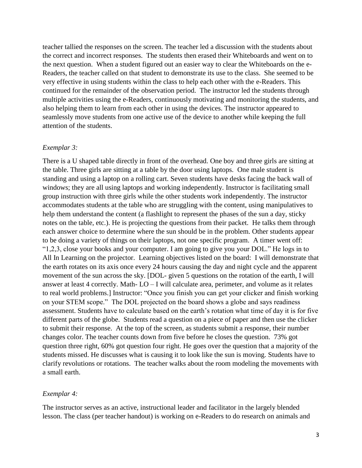teacher tallied the responses on the screen. The teacher led a discussion with the students about the correct and incorrect responses. The students then erased their Whiteboards and went on to the next question. When a student figured out an easier way to clear the Whiteboards on the e-Readers, the teacher called on that student to demonstrate its use to the class. She seemed to be very effective in using students within the class to help each other with the e-Readers. This continued for the remainder of the observation period. The instructor led the students through multiple activities using the e-Readers, continuously motivating and monitoring the students, and also helping them to learn from each other in using the devices. The instructor appeared to seamlessly move students from one active use of the device to another while keeping the full attention of the students.

#### *Exemplar 3:*

There is a U shaped table directly in front of the overhead. One boy and three girls are sitting at the table. Three girls are sitting at a table by the door using laptops. One male student is standing and using a laptop on a rolling cart. Seven students have desks facing the back wall of windows; they are all using laptops and working independently. Instructor is facilitating small group instruction with three girls while the other students work independently. The instructor accommodates students at the table who are struggling with the content, using manipulatives to help them understand the content (a flashlight to represent the phases of the sun a day, sticky notes on the table, etc.). He is projecting the questions from their packet. He talks them through each answer choice to determine where the sun should be in the problem. Other students appear to be doing a variety of things on their laptops, not one specific program. A timer went off: "1,2,3, close your books and your computer. I am going to give you your DOL." He logs in to All In Learning on the projector. Learning objectives listed on the board: I will demonstrate that the earth rotates on its axis once every 24 hours causing the day and night cycle and the apparent movement of the sun across the sky. [DOL- given 5 questions on the rotation of the earth, I will answer at least 4 correctly. Math- LO – I will calculate area, perimeter, and volume as it relates to real world problems.] Instructor: "Once you finish you can get your clicker and finish working on your STEM scope." The DOL projected on the board shows a globe and says readiness assessment. Students have to calculate based on the earth's rotation what time of day it is for five different parts of the globe. Students read a question on a piece of paper and then use the clicker to submit their response. At the top of the screen, as students submit a response, their number changes color. The teacher counts down from five before he closes the question. 73% got question three right, 60% got question four right. He goes over the question that a majority of the students missed. He discusses what is causing it to look like the sun is moving. Students have to clarify revolutions or rotations. The teacher walks about the room modeling the movements with a small earth.

### *Exemplar 4:*

The instructor serves as an active, instructional leader and facilitator in the largely blended lesson. The class (per teacher handout) is working on e-Readers to do research on animals and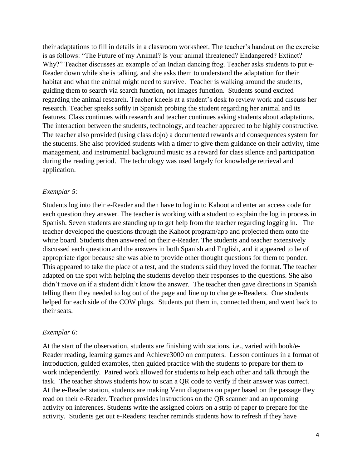their adaptations to fill in details in a classroom worksheet. The teacher's handout on the exercise is as follows: "The Future of my Animal? Is your animal threatened? Endangered? Extinct? Why?" Teacher discusses an example of an Indian dancing frog. Teacher asks students to put e-Reader down while she is talking, and she asks them to understand the adaptation for their habitat and what the animal might need to survive. Teacher is walking around the students, guiding them to search via search function, not images function. Students sound excited regarding the animal research. Teacher kneels at a student's desk to review work and discuss her research. Teacher speaks softly in Spanish probing the student regarding her animal and its features. Class continues with research and teacher continues asking students about adaptations. The interaction between the students, technology, and teacher appeared to be highly constructive. The teacher also provided (using class dojo) a documented rewards and consequences system for the students. She also provided students with a timer to give them guidance on their activity, time management, and instrumental background music as a reward for class silence and participation during the reading period. The technology was used largely for knowledge retrieval and application.

### *Exemplar 5:*

Students log into their e-Reader and then have to log in to Kahoot and enter an access code for each question they answer. The teacher is working with a student to explain the log in process in Spanish. Seven students are standing up to get help from the teacher regarding logging in. The teacher developed the questions through the Kahoot program/app and projected them onto the white board. Students then answered on their e-Reader. The students and teacher extensively discussed each question and the answers in both Spanish and English, and it appeared to be of appropriate rigor because she was able to provide other thought questions for them to ponder. This appeared to take the place of a test, and the students said they loved the format. The teacher adapted on the spot with helping the students develop their responses to the questions. She also didn't move on if a student didn't know the answer. The teacher then gave directions in Spanish telling them they needed to log out of the page and line up to charge e-Readers. One students helped for each side of the COW plugs. Students put them in, connected them, and went back to their seats.

#### *Exemplar 6:*

At the start of the observation, students are finishing with stations, i.e., varied with book/e-Reader reading, learning games and Achieve3000 on computers. Lesson continues in a format of introduction, guided examples, then guided practice with the students to prepare for them to work independently. Paired work allowed for students to help each other and talk through the task. The teacher shows students how to scan a QR code to verify if their answer was correct. At the e-Reader station, students are making Venn diagrams on paper based on the passage they read on their e-Reader. Teacher provides instructions on the QR scanner and an upcoming activity on inferences. Students write the assigned colors on a strip of paper to prepare for the activity. Students get out e-Readers; teacher reminds students how to refresh if they have